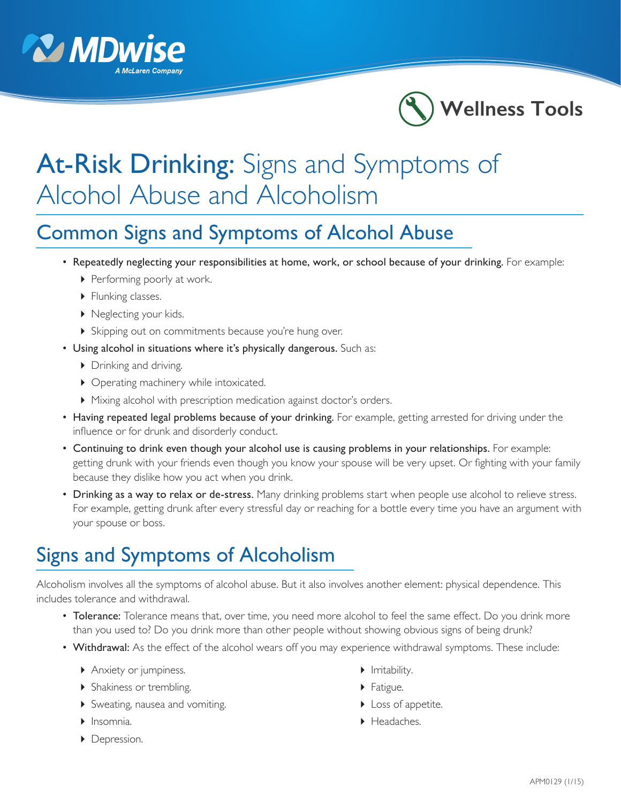



## At-Risk Drinking: Signs and Symptoms of Alcohol Abuse and Alcoholism

## Common Signs and Symptoms of Alcohol Abuse

- Repeatedly neglecting your responsibilities at home, work, or school because of your drinking. For example:
	- **Performing poorly at work.**
	- Flunking classes.
	- ▶ Neglecting your kids.
	- Skipping out on commitments because you're hung over.
- Using alcohol in situations where it's physically dangerous. Such as:
	- ▶ Drinking and driving.
	- ▶ Operating machinery while intoxicated.
	- Mixing alcohol with prescription medication against doctor's orders.
- Having repeated legal problems because of your drinking. For example, getting arrested for driving under the influence or for drunk and disorderly conduct.
- Continuing to drink even though your alcohol use is causing problems in your relationships. For example: getting drunk with your friends even though you know your spouse will be very upset. Or fighting with your family because they dislike how you act when you drink.
- Drinking as a way to relax or de-stress. Many drinking problems start when people use alcohol to relieve stress. For example, getting drunk after every stressful day or reaching for a bottle every time you have an argument with your spouse or boss.

## Signs and Symptoms of Alcoholism

Alcoholism involves all the symptoms of alcohol abuse. But it also involves another element: physical dependence. This includes tolerance and withdrawal.

- Tolerance: Tolerance means that, over time, you need more alcohol to feel the same effect. Do you drink more than you used to? Do you drink more than other people without showing obvious signs of being drunk?
- Withdrawal: As the effect of the alcohol wears off you may experience withdrawal symptoms. These include:
	- Anxiety or jumpiness.  $\qquad \qquad \qquad \bullet$  Irritability.
	- Shakiness or trembling. Fatigue.
	- Sweating, nausea and vomiting. Loss of appetite.
	-
	- **Depression.**
- 
- 
- 
- ▶ Insomnia.